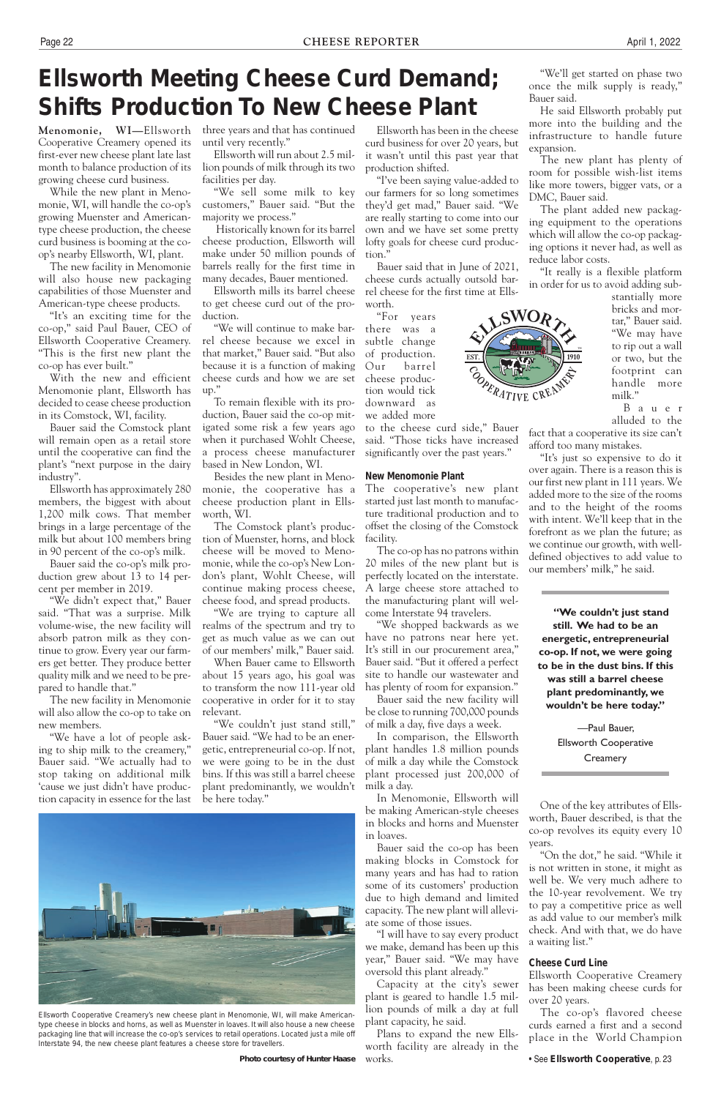**Menomonie, WI—**Ellsworth Cooperative Creamery opened its first-ever new cheese plant late last month to balance production of its growing cheese curd business.

While the new plant in Menomonie, WI, will handle the co-op's growing Muenster and Americantype cheese production, the cheese curd business is booming at the coop's nearby Ellsworth, WI, plant.

The new facility in Menomonie will also house new packaging capabilities of those Muenster and American-type cheese products.

"It's an exciting time for the co-op," said Paul Bauer, CEO of Ellsworth Cooperative Creamery. "This is the first new plant the co-op has ever built."

With the new and efficient Menomonie plant, Ellsworth has decided to cease cheese production in its Comstock, WI, facility.

Bauer said the Comstock plant will remain open as a retail store until the cooperative can find the plant's "next purpose in the dairy industry".

Ellsworth has approximately 280 members, the biggest with about 1,200 milk cows. That member brings in a large percentage of the milk but about 100 members bring in 90 percent of the co-op's milk.

Bauer said the co-op's milk production grew about 13 to 14 percent per member in 2019.

"We didn't expect that," Bauer said. "That was a surprise. Milk volume-wise, the new facility will absorb patron milk as they continue to grow. Every year our farmers get better. They produce better quality milk and we need to be prepared to handle that."

The new facility in Menomonie will also allow the co-op to take on new members.

"We have a lot of people asking to ship milk to the creamery," Bauer said. "We actually had to stop taking on additional milk 'cause we just didn't have production capacity in essence for the last three years and that has continued until very recently."

Ellsworth will run about 2.5 million pounds of milk through its two facilities per day.

"We sell some milk to key customers," Bauer said. "But the majority we process."

 Historically known for its barrel cheese production, Ellsworth will make under 50 million pounds of barrels really for the first time in many decades, Bauer mentioned.

Ellsworth mills its barrel cheese to get cheese curd out of the production.

"We will continue to make barrel cheese because we excel in that market," Bauer said. "But also because it is a function of making cheese curds and how we are set up."

To remain flexible with its production, Bauer said the co-op mitigated some risk a few years ago when it purchased Wohlt Cheese, a process cheese manufacturer based in New London, WI.

Besides the new plant in Menomonie, the cooperative has a cheese production plant in Ellsworth, WI.

The Comstock plant's production of Muenster, horns, and block cheese will be moved to Menomonie, while the co-op's New London's plant, Wohlt Cheese, will continue making process cheese, cheese food, and spread products.

"We are trying to capture all realms of the spectrum and try to get as much value as we can out of our members' milk," Bauer said.

When Bauer came to Ellsworth about 15 years ago, his goal was to transform the now 111-year old cooperative in order for it to stay relevant.

"We couldn't just stand still," Bauer said. "We had to be an energetic, entrepreneurial co-op. If not, we were going to be in the dust bins. If this was still a barrel cheese plant predominantly, we wouldn't be here today."

—Paul Bauer, Ellsworth Cooperative **Creamery** 

Ellsworth has been in the cheese curd business for over 20 years, but it wasn't until this past year that production shifted.

"I've been saying value-added to our farmers for so long sometimes they'd get mad," Bauer said. "We are really starting to come into our own and we have set some pretty lofty goals for cheese curd production."

Bauer said that in June of 2021, cheese curds actually outsold barrel cheese for the first time at Ellsworth.

"For years there was a subtle change of production. Our barrel cheese production would tick downward as we added more

to the cheese curd side," Bauer said. "Those ticks have increased significantly over the past years."

#### **New Menomonie Plant**

The cooperative's new plant started just last month to manufacture traditional production and to offset the closing of the Comstock facility.

The co-op has no patrons within 20 miles of the new plant but is perfectly located on the interstate. A large cheese store attached to the manufacturing plant will welcome Interstate 94 travelers.

"We shopped backwards as we have no patrons near here yet. It's still in our procurement area," Bauer said. "But it offered a perfect site to handle our wastewater and has plenty of room for expansion."

Bauer said the new facility will be close to running 700,000 pounds of milk a day, five days a week.

In comparison, the Ellsworth plant handles 1.8 million pounds of milk a day while the Comstock plant processed just 200,000 of milk a day.

In Menomonie, Ellsworth will be making American-style cheeses in blocks and horns and Muenster in loaves.

Bauer said the co-op has been

making blocks in Comstock for many years and has had to ration some of its customers' production due to high demand and limited capacity. The new plant will alleviate some of those issues.

"I will have to say every product we make, demand has been up this year," Bauer said. "We may have oversold this plant already."

Capacity at the city's sewer plant is geared to handle 1.5 million pounds of milk a day at full plant capacity, he said.

Plans to expand the new Ellsworth facility are already in the

# **Ellsworth Meeting Cheese Curd Demand; Shifts Production To New Cheese Plant**

"We'll get started on phase two once the milk supply is ready," Bauer said.

He said Ellsworth probably put more into the building and the infrastructure to handle future expansion.

The new plant has plenty of room for possible wish-list items like more towers, bigger vats, or a DMC, Bauer said.

The plant added new packaging equipment to the operations which will allow the co-op packaging options it never had, as well as reduce labor costs.

"It really is a flexible platform in order for us to avoid adding sub-

stantially more bricks and mortar," Bauer said. "We may have to rip out a wall or two, but the footprint can handle more milk."

B a u e r alluded to the

fact that a cooperative its size can't afford too many mistakes.

"It's just so expensive to do it over again. There is a reason this is our first new plant in 111 years. We added more to the size of the rooms and to the height of the rooms with intent. We'll keep that in the forefront as we plan the future; as we continue our growth, with welldefined objectives to add value to our members' milk," he said.

works. *Photo courtesy of Hunter Haase*

**"We couldn't just stand still. We had to be an energetic, entrepreneurial co-op. If not, we were going to be in the dust bins. If this was still a barrel cheese plant predominantly, we wouldn't be here today."**

One of the key attributes of Ellsworth, Bauer described, is that the co-op revolves its equity every 10 years.

"On the dot," he said. "While it is not written in stone, it might as well be. We very much adhere to the 10-year revolvement. We try to pay a competitive price as well as add value to our member's milk check. And with that, we do have a waiting list."

### **Cheese Curd Line**

Ellsworth Cooperative Creamery has been making cheese curds for over 20 years.

The co-op's flavored cheese curds earned a first and a second place in the World Champion

• See **Ellsworth Cooperative**, p. 23





Ellsworth Cooperative Creamery's new cheese plant in Menomonie, WI, will make Americantype cheese in blocks and horns, as well as Muenster in loaves. It will also house a new cheese packaging line that will increase the co-op's services to retail operations. Located just a mile off Interstate 94, the new cheese plant features a cheese store for travellers.